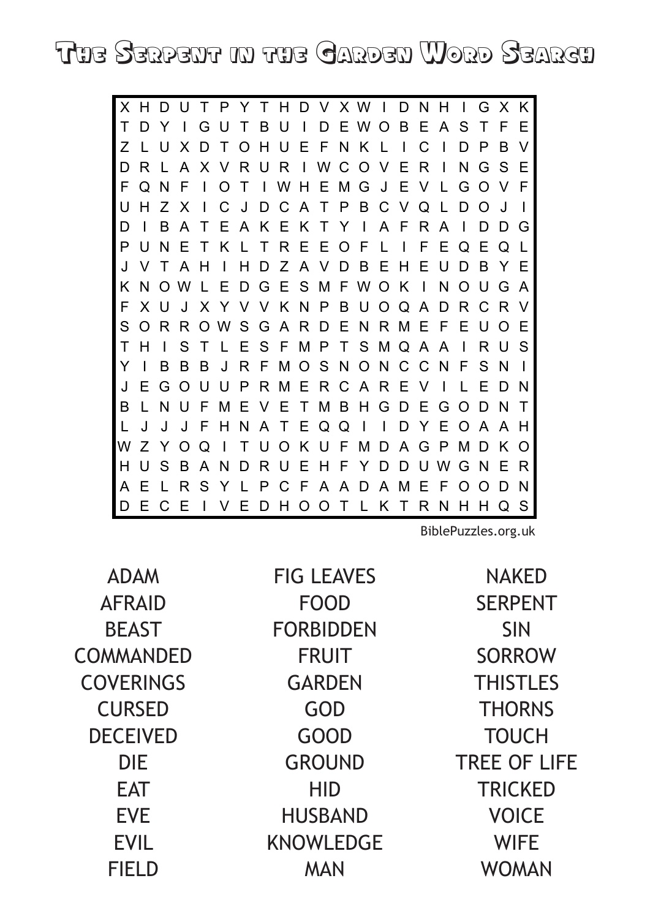THE SERPENT IN THE CARDEN WORD SEARCH

X H D U T P Y T H D V X W I D N H  $\mathbf{L}$ GXK I D E W O B E A T F  $\top$ D Y  $\mathbf{I}$ GUTBU S  $E$ OHUEFNKL  $\mathsf{C}$  $\blacksquare$  $\overline{z}$ X D  $\mathsf{T}$  $\mathbf{I}$  $D$   $P$ <sub>B</sub>  $\vee$  $\overline{A}$ RUR I W C O V  $E$  $\mathsf{R}$  $N$  G S D  $R<sub>1</sub>$ X V  $\blacksquare$  $\mathsf{F}$ F  $\mathbf N$  $T$  $H$ E M G ഻ G O  $\mathsf{F}$ E  $\Omega$ W F  $\vee$ ATPBC U  $HZ$ J D  $\overline{C}$  $V$ Q  $\mathsf{L}$ D O  $\overline{\phantom{a}}$ X C J B EAKEKT  $Y<sub>1</sub>$ A F  $\mathsf{R}$  $\overline{A}$ D  $\overline{A}$  $\top$  $\mathbf{I}$ D D G  $\mathsf{P}$  $\mathsf{N}$  $\mathsf{F}$ REEOF  $\mathsf{L}$ F EQEQL  $\mathbf{U}$  $K<sub>1</sub>$  $\mathsf{T}$  $\mathbf{I}$ ZAVDBEHE  $\cup$ D B Y E  $\mathsf{J}$  $\mathsf T$  $\overline{A}$  $H$ D K N O W EDGESMFWOK  $\mathbf{I}$ N O U G A E KNPBU  $X$   $\cup$  $\mathbf{J}$ X Y V  $\vee$  $\circ$  $\Omega$  $\overline{A}$ D R C R V S GARDENRM FEUOE S ORR O W Е T S M Q A <sub>S</sub> T  $\mathbf{L}$ S.  $\top$  $I$  F SFMP R U  $H$ A  $\mathbf{I}$ Y <sub>R</sub>  $J$  R F MO<sub>S</sub> N O N C  $\mathcal{C}$  $N$  F S.  $\overline{\phantom{a}}$  $\overline{B}$ <sub>R</sub>  $N$  $\mathbf{I}$ UUPRMERCAREV J E G O  $\blacksquare$  $\mathsf{L}$ E D N TMBHGDE B NU F M E E G O D N  $\top$  $\vee$  $\mathbf{I}$  $\mathsf{L}$ FHNA TEQQ  $\overline{\phantom{a}}$  $\mathbf{I}$ D Y  $\mathsf E$  $\mathsf{J}$  $\mathsf{J}$ J O A A H W Z Y O  $\Omega$  $\blacksquare$ T U O K U F M D A G P M D K O ANDRUEHFYD  $H$ USB  $\Box$ UWGNER SYL A A D A M  $E$ AELR P C - F  $\mathsf{F}$ O O D N **IVEDHOOTLKT** DECE RNHHQS

BiblePuzzles.org.uk

**ADAM AFRAID BEAST COMMANDED COVERINGS CURSED DECEIVED DIF FAT EVE FVII FIELD** 

**FIG LEAVES FOOD FORBIDDEN FRUIT GARDEN** GOD **GOOD GROUND HID HUSBAND KNOWLEDGE MAN** 

**NAKED SERPENT SIN SORROW THISTLES THORNS TOUCH TREE OF LIFE TRICKED VOICE WIFE WOMAN**